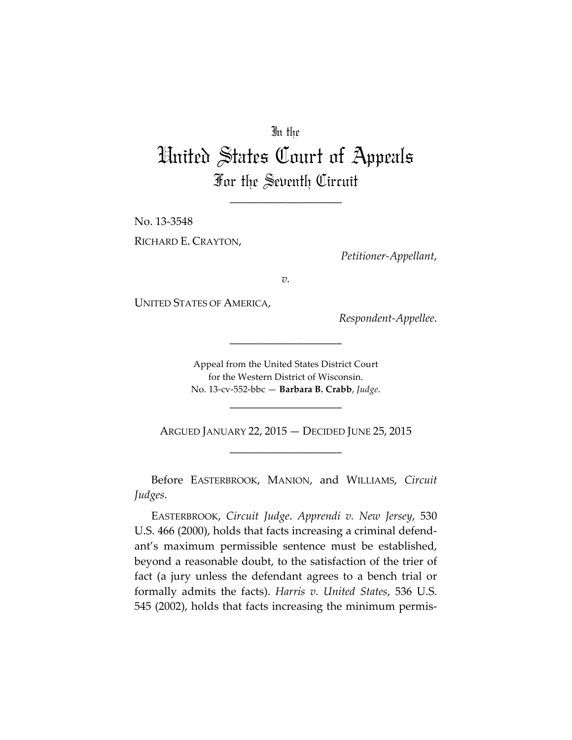## In the

## United States Court of Appeals For the Seventh Circuit

\_\_\_\_\_\_\_\_\_\_\_\_\_\_\_\_\_\_\_\_

No. 13-3548 RICHARD E. CRAYTON,

*Petitioner-Appellant*,

*v.*

UNITED STATES OF AMERICA,

*Respondent-Appellee*.

Appeal from the United States District Court for the Western District of Wisconsin. No. 13-cv-552-bbc — **Barbara B. Crabb**, *Judge*.

\_\_\_\_\_\_\_\_\_\_\_\_\_\_\_\_\_\_\_\_

\_\_\_\_\_\_\_\_\_\_\_\_\_\_\_\_\_\_\_\_

ARGUED JANUARY 22, 2015 — DECIDED JUNE 25, 2015 \_\_\_\_\_\_\_\_\_\_\_\_\_\_\_\_\_\_\_\_

Before EASTERBROOK, MANION, and WILLIAMS, *Circuit Judges*.

EASTERBROOK, *Circuit Judge*. *Apprendi v. New Jersey*, 530 U.S. 466 (2000), holds that facts increasing a criminal defendant's maximum permissible sentence must be established, beyond a reasonable doubt, to the satisfaction of the trier of fact (a jury unless the defendant agrees to a bench trial or formally admits the facts). *Harris v. United States*, 536 U.S. 545 (2002), holds that facts increasing the minimum permis-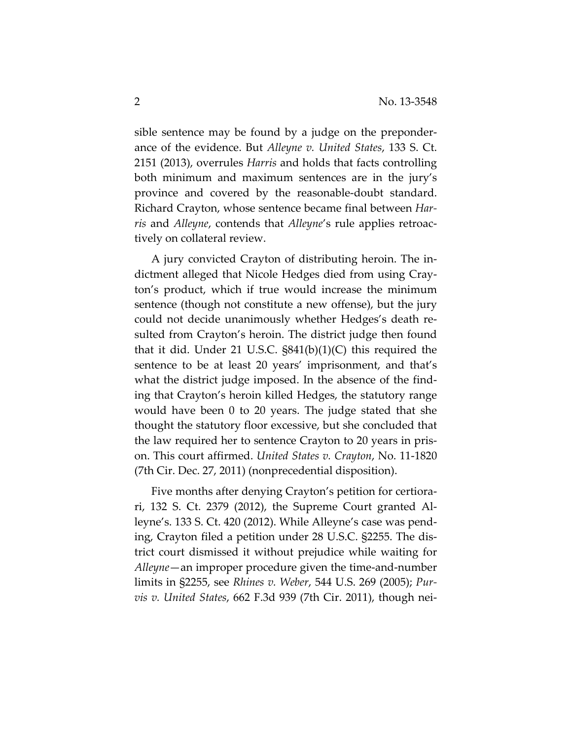sible sentence may be found by a judge on the preponderance of the evidence. But *Alleyne v. United States*, 133 S. Ct. 2151 (2013), overrules *Harris* and holds that facts controlling both minimum and maximum sentences are in the jury's province and covered by the reasonable-doubt standard. Richard Crayton, whose sentence became final between *Harris* and *Alleyne*, contends that *Alleyne*'s rule applies retroactively on collateral review.

A jury convicted Crayton of distributing heroin. The indictment alleged that Nicole Hedges died from using Crayton's product, which if true would increase the minimum sentence (though not constitute a new offense), but the jury could not decide unanimously whether Hedges's death resulted from Crayton's heroin. The district judge then found that it did. Under 21 U.S.C. §841(b)(1)(C) this required the sentence to be at least 20 years' imprisonment, and that's what the district judge imposed. In the absence of the finding that Crayton's heroin killed Hedges, the statutory range would have been 0 to 20 years. The judge stated that she thought the statutory floor excessive, but she concluded that the law required her to sentence Crayton to 20 years in prison. This court affirmed. *United States v. Crayton*, No. 11-1820 (7th Cir. Dec. 27, 2011) (nonprecedential disposition).

Five months after denying Crayton's petition for certiorari, 132 S. Ct. 2379 (2012), the Supreme Court granted Alleyne's. 133 S. Ct. 420 (2012). While Alleyne's case was pending, Crayton filed a petition under 28 U.S.C. §2255. The district court dismissed it without prejudice while waiting for *Alleyne*—an improper procedure given the time-and-number limits in §2255, see *Rhines v. Weber*, 544 U.S. 269 (2005); *Purvis v. United States*, 662 F.3d 939 (7th Cir. 2011), though nei-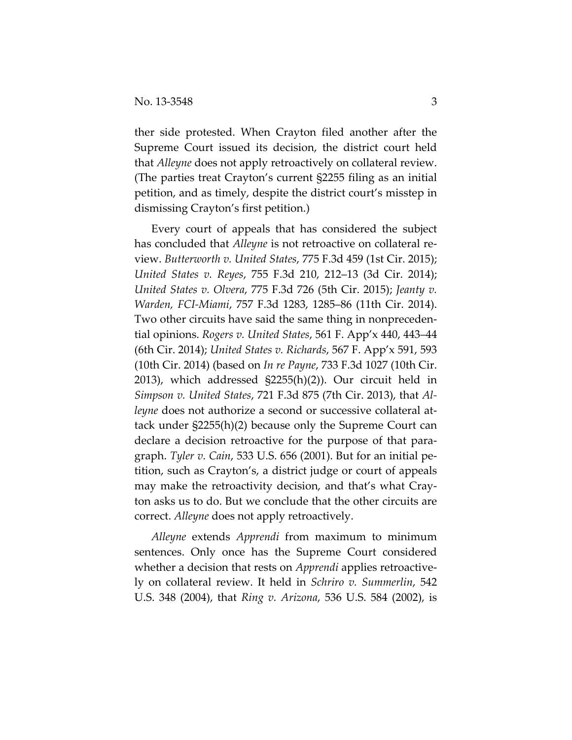ther side protested. When Crayton filed another after the Supreme Court issued its decision, the district court held that *Alleyne* does not apply retroactively on collateral review. (The parties treat Crayton's current §2255 filing as an initial petition, and as timely, despite the district court's misstep in dismissing Crayton's first petition.)

Every court of appeals that has considered the subject has concluded that *Alleyne* is not retroactive on collateral review. *Butterworth v. United States*, 775 F.3d 459 (1st Cir. 2015); *United States v. Reyes*, 755 F.3d 210, 212–13 (3d Cir. 2014); *United States v. Olvera*, 775 F.3d 726 (5th Cir. 2015); *Jeanty v. Warden, FCI-Miami*, 757 F.3d 1283, 1285–86 (11th Cir. 2014). Two other circuits have said the same thing in nonprecedential opinions. *Rogers v. United States*, 561 F. App'x 440, 443–44 (6th Cir. 2014); *United States v. Richards*, 567 F. App'x 591, 593 (10th Cir. 2014) (based on *In re Payne*, 733 F.3d 1027 (10th Cir. 2013), which addressed §2255(h)(2)). Our circuit held in *Simpson v. United States*, 721 F.3d 875 (7th Cir. 2013), that *Alleyne* does not authorize a second or successive collateral attack under §2255(h)(2) because only the Supreme Court can declare a decision retroactive for the purpose of that paragraph. *Tyler v. Cain*, 533 U.S. 656 (2001). But for an initial petition, such as Crayton's, a district judge or court of appeals may make the retroactivity decision, and that's what Crayton asks us to do. But we conclude that the other circuits are correct. *Alleyne* does not apply retroactively.

*Alleyne* extends *Apprendi* from maximum to minimum sentences. Only once has the Supreme Court considered whether a decision that rests on *Apprendi* applies retroactively on collateral review. It held in *Schriro v. Summerlin*, 542 U.S. 348 (2004), that *Ring v. Arizona*, 536 U.S. 584 (2002), is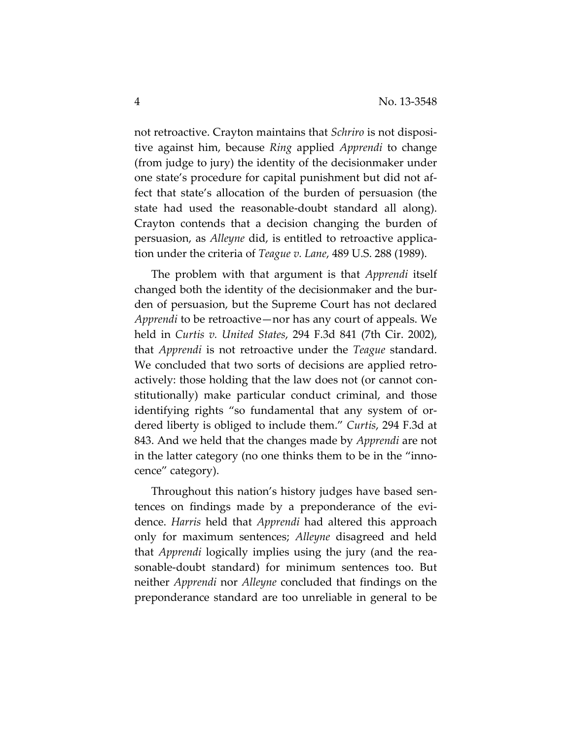not retroactive. Crayton maintains that *Schriro* is not dispositive against him, because *Ring* applied *Apprendi* to change (from judge to jury) the identity of the decisionmaker under one state's procedure for capital punishment but did not affect that state's allocation of the burden of persuasion (the state had used the reasonable-doubt standard all along). Crayton contends that a decision changing the burden of persuasion, as *Alleyne* did, is entitled to retroactive application under the criteria of *Teague v. Lane*, 489 U.S. 288 (1989).

The problem with that argument is that *Apprendi* itself changed both the identity of the decisionmaker and the burden of persuasion, but the Supreme Court has not declared *Apprendi* to be retroactive—nor has any court of appeals. We held in *Curtis v. United States*, 294 F.3d 841 (7th Cir. 2002), that *Apprendi* is not retroactive under the *Teague* standard. We concluded that two sorts of decisions are applied retroactively: those holding that the law does not (or cannot constitutionally) make particular conduct criminal, and those identifying rights "so fundamental that any system of ordered liberty is obliged to include them." *Curtis*, 294 F.3d at 843. And we held that the changes made by *Apprendi* are not in the latter category (no one thinks them to be in the "innocence" category).

Throughout this nation's history judges have based sentences on findings made by a preponderance of the evidence. *Harris* held that *Apprendi* had altered this approach only for maximum sentences; *Alleyne* disagreed and held that *Apprendi* logically implies using the jury (and the reasonable-doubt standard) for minimum sentences too. But neither *Apprendi* nor *Alleyne* concluded that findings on the preponderance standard are too unreliable in general to be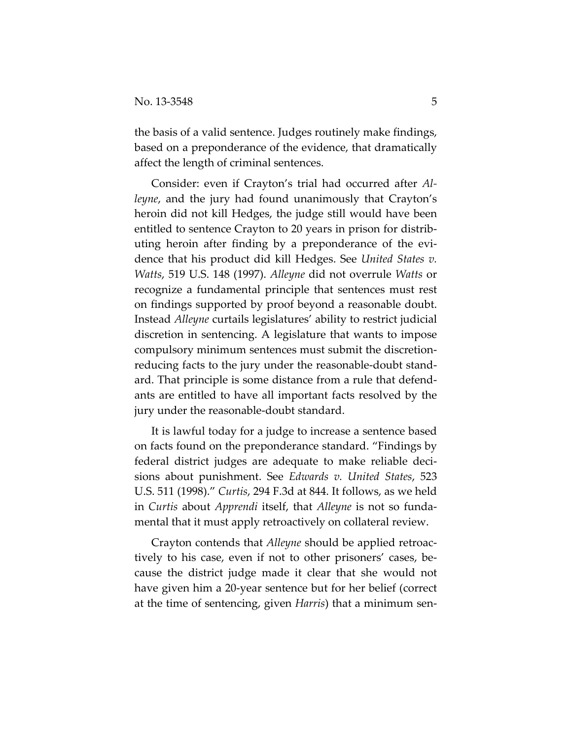the basis of a valid sentence. Judges routinely make findings, based on a preponderance of the evidence, that dramatically affect the length of criminal sentences.

Consider: even if Crayton's trial had occurred after *Alleyne*, and the jury had found unanimously that Crayton's heroin did not kill Hedges, the judge still would have been entitled to sentence Crayton to 20 years in prison for distributing heroin after finding by a preponderance of the evidence that his product did kill Hedges. See *United States v. Watts*, 519 U.S. 148 (1997). *Alleyne* did not overrule *Watts* or recognize a fundamental principle that sentences must rest on findings supported by proof beyond a reasonable doubt. Instead *Alleyne* curtails legislatures' ability to restrict judicial discretion in sentencing. A legislature that wants to impose compulsory minimum sentences must submit the discretionreducing facts to the jury under the reasonable-doubt standard. That principle is some distance from a rule that defendants are entitled to have all important facts resolved by the jury under the reasonable-doubt standard.

It is lawful today for a judge to increase a sentence based on facts found on the preponderance standard. "Findings by federal district judges are adequate to make reliable decisions about punishment. See *Edwards v. United States*, 523 U.S. 511 (1998)." *Curtis*, 294 F.3d at 844. It follows, as we held in *Curtis* about *Apprendi* itself, that *Alleyne* is not so fundamental that it must apply retroactively on collateral review.

Crayton contends that *Alleyne* should be applied retroactively to his case, even if not to other prisoners' cases, because the district judge made it clear that she would not have given him a 20-year sentence but for her belief (correct at the time of sentencing, given *Harris*) that a minimum sen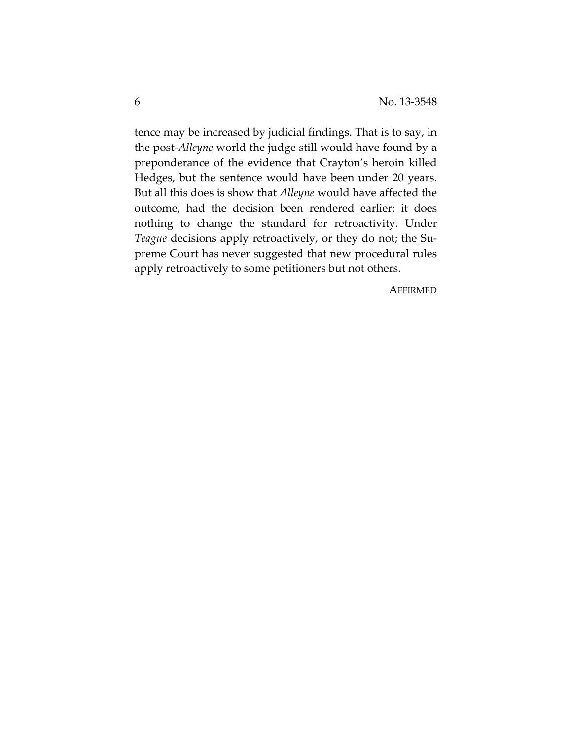tence may be increased by judicial findings. That is to say, in the post-*Alleyne* world the judge still would have found by a preponderance of the evidence that Crayton's heroin killed Hedges, but the sentence would have been under 20 years. But all this does is show that *Alleyne* would have affected the outcome, had the decision been rendered earlier; it does nothing to change the standard for retroactivity. Under *Teague* decisions apply retroactively, or they do not; the Supreme Court has never suggested that new procedural rules apply retroactively to some petitioners but not others.

**AFFIRMED**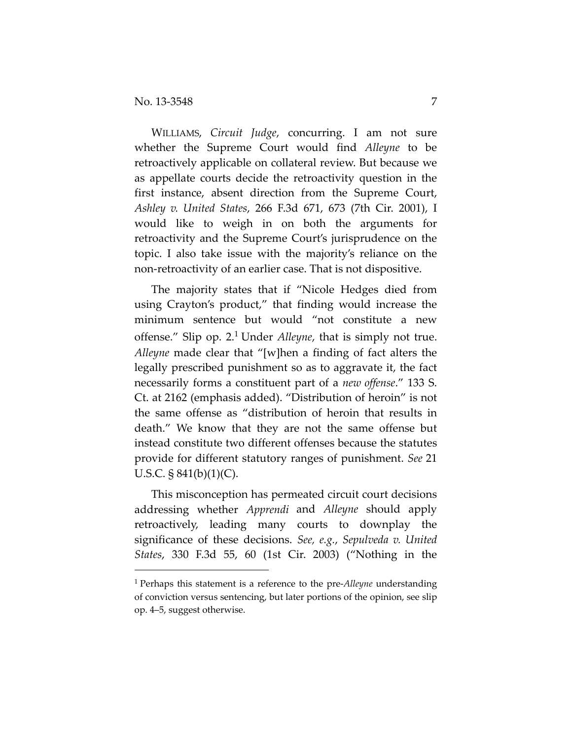$\overline{a}$ 

WILLIAMS, *Circuit Judge*, concurring. I am not sure whether the Supreme Court would find *Alleyne* to be retroactively applicable on collateral review. But because we as appellate courts decide the retroactivity question in the first instance, absent direction from the Supreme Court, *Ashley v. United States*, 266 F.3d 671, 673 (7th Cir. 2001), I would like to weigh in on both the arguments for retroactivity and the Supreme Court's jurisprudence on the topic. I also take issue with the majority's reliance on the non‐retroactivity of an earlier case. That is not dispositive.

The majority states that if "Nicole Hedges died from using Crayton's product," that finding would increase the minimum sentence but would "not constitute a new offense." Slip op. 2.1 Under *Alleyne*, that is simply not true. *Alleyne* made clear that "[w]hen a finding of fact alters the legally prescribed punishment so as to aggravate it, the fact necessarily forms a constituent part of a *new offense*." 133 S. Ct. at 2162 (emphasis added). "Distribution of heroin" is not the same offense as "distribution of heroin that results in death." We know that they are not the same offense but instead constitute two different offenses because the statutes provide for different statutory ranges of punishment. *See* 21 U.S.C.  $\S 841(b)(1)(C)$ .

This misconception has permeated circuit court decisions addressing whether *Apprendi* and *Alleyne* should apply retroactively, leading many courts to downplay the significance of these decisions. *See, e.g.*, *Sepulveda v. United States*, 330 F.3d 55, 60 (1st Cir. 2003) ("Nothing in the

<sup>1</sup> Perhaps this statement is a reference to the pre‐*Alleyne* understanding of conviction versus sentencing, but later portions of the opinion, see slip op. 4–5, suggest otherwise.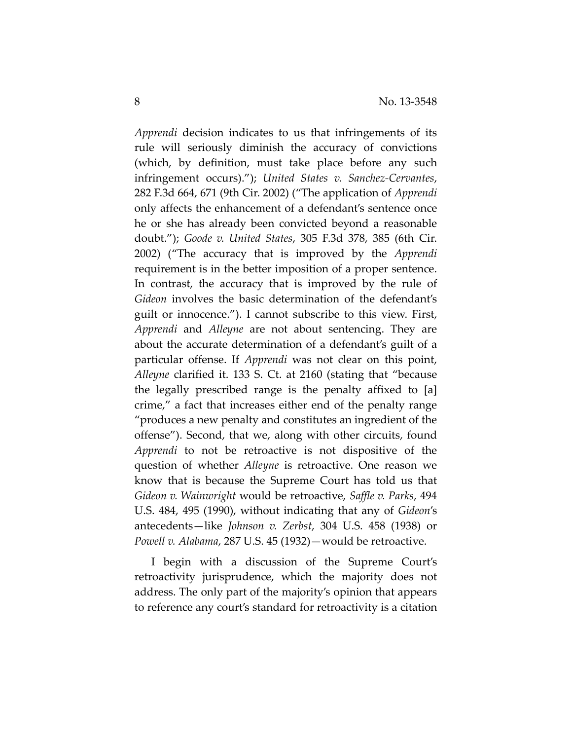*Apprendi* decision indicates to us that infringements of its rule will seriously diminish the accuracy of convictions (which, by definition, must take place before any such infringement occurs)."); *United States v. Sanchez‐Cervantes*, 282 F.3d 664, 671 (9th Cir. 2002) ("The application of *Apprendi* only affects the enhancement of a defendant's sentence once he or she has already been convicted beyond a reasonable doubt."); *Goode v. United States*, 305 F.3d 378, 385 (6th Cir. 2002) ("The accuracy that is improved by the *Apprendi* requirement is in the better imposition of a proper sentence. In contrast, the accuracy that is improved by the rule of *Gideon* involves the basic determination of the defendant's guilt or innocence."). I cannot subscribe to this view. First, *Apprendi* and *Alleyne* are not about sentencing. They are about the accurate determination of a defendant's guilt of a particular offense. If *Apprendi* was not clear on this point, *Alleyne* clarified it. 133 S. Ct. at 2160 (stating that "because the legally prescribed range is the penalty affixed to [a] crime," a fact that increases either end of the penalty range "produces a new penalty and constitutes an ingredient of the offense"). Second, that we, along with other circuits, found *Apprendi* to not be retroactive is not dispositive of the question of whether *Alleyne* is retroactive. One reason we know that is because the Supreme Court has told us that *Gideon v. Wainwright* would be retroactive, *Saffle v. Parks*, 494 U.S. 484, 495 (1990), without indicating that any of *Gideon*'s antecedents—like *Johnson v. Zerbst*, 304 U.S. 458 (1938) or *Powell v. Alabama*, 287 U.S. 45 (1932)—would be retroactive.

I begin with a discussion of the Supreme Court's retroactivity jurisprudence, which the majority does not address. The only part of the majority's opinion that appears to reference any court's standard for retroactivity is a citation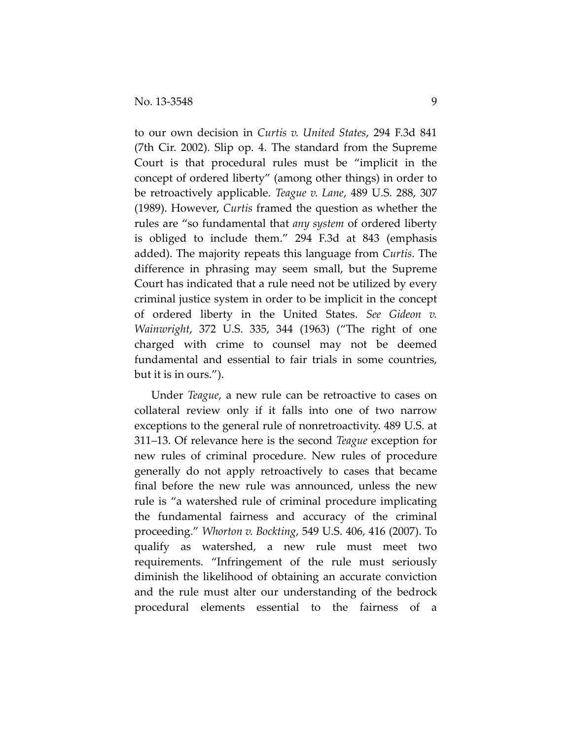to our own decision in *Curtis v. United States*, 294 F.3d 841 (7th Cir. 2002). Slip op. 4. The standard from the Supreme Court is that procedural rules must be "implicit in the concept of ordered liberty" (among other things) in order to be retroactively applicable. *Teague v. Lane*, 489 U.S. 288, 307 (1989). However, *Curtis* framed the question as whether the rules are "so fundamental that *any system* of ordered liberty is obliged to include them." 294 F.3d at 843 (emphasis added). The majority repeats this language from *Curtis*. The difference in phrasing may seem small, but the Supreme Court has indicated that a rule need not be utilized by every criminal justice system in order to be implicit in the concept of ordered liberty in the United States. *See Gideon v. Wainwright*, 372 U.S. 335, 344 (1963) ("The right of one charged with crime to counsel may not be deemed fundamental and essential to fair trials in some countries, but it is in ours.").

Under *Teague*, a new rule can be retroactive to cases on collateral review only if it falls into one of two narrow exceptions to the general rule of nonretroactivity. 489 U.S. at 311–13. Of relevance here is the second *Teague* exception for new rules of criminal procedure. New rules of procedure generally do not apply retroactively to cases that became final before the new rule was announced, unless the new rule is "a watershed rule of criminal procedure implicating the fundamental fairness and accuracy of the criminal proceeding." *Whorton v. Bockting*, 549 U.S. 406, 416 (2007). To qualify as watershed, a new rule must meet two requirements. "Infringement of the rule must seriously diminish the likelihood of obtaining an accurate conviction and the rule must alter our understanding of the bedrock procedural elements essential to the fairness of a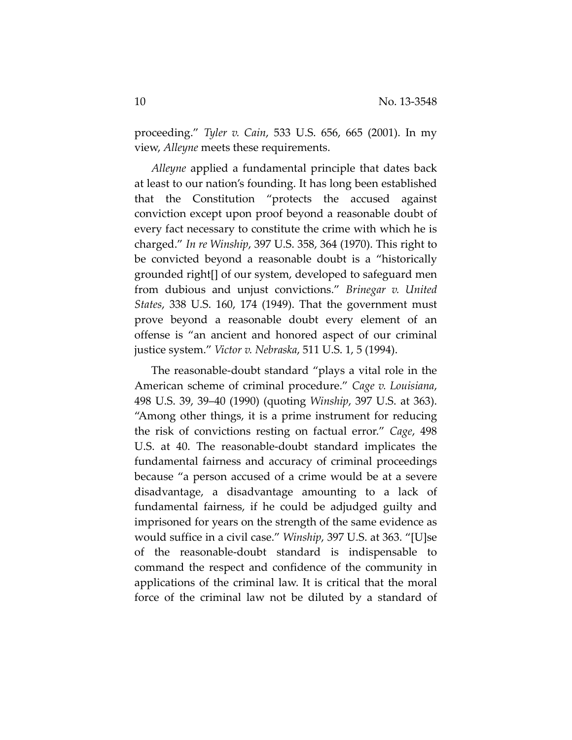proceeding." *Tyler v. Cain*, 533 U.S. 656, 665 (2001). In my view, *Alleyne* meets these requirements.

*Alleyne* applied a fundamental principle that dates back at least to our nation's founding. It has long been established that the Constitution "protects the accused against conviction except upon proof beyond a reasonable doubt of every fact necessary to constitute the crime with which he is charged." *In re Winship*, 397 U.S. 358, 364 (1970). This right to be convicted beyond a reasonable doubt is a "historically grounded right[] of our system, developed to safeguard men from dubious and unjust convictions." *Brinegar v. United States*, 338 U.S. 160, 174 (1949). That the government must prove beyond a reasonable doubt every element of an offense is "an ancient and honored aspect of our criminal justice system." *Victor v. Nebraska*, 511 U.S. 1, 5 (1994).

The reasonable‐doubt standard "plays a vital role in the American scheme of criminal procedure." *Cage v. Louisiana*, 498 U.S. 39, 39–40 (1990) (quoting *Winship*, 397 U.S. at 363). "Among other things, it is a prime instrument for reducing the risk of convictions resting on factual error." *Cage*, 498 U.S. at 40. The reasonable‐doubt standard implicates the fundamental fairness and accuracy of criminal proceedings because "a person accused of a crime would be at a severe disadvantage, a disadvantage amounting to a lack of fundamental fairness, if he could be adjudged guilty and imprisoned for years on the strength of the same evidence as would suffice in a civil case." *Winship*, 397 U.S. at 363. "[U]se of the reasonable‐doubt standard is indispensable to command the respect and confidence of the community in applications of the criminal law. It is critical that the moral force of the criminal law not be diluted by a standard of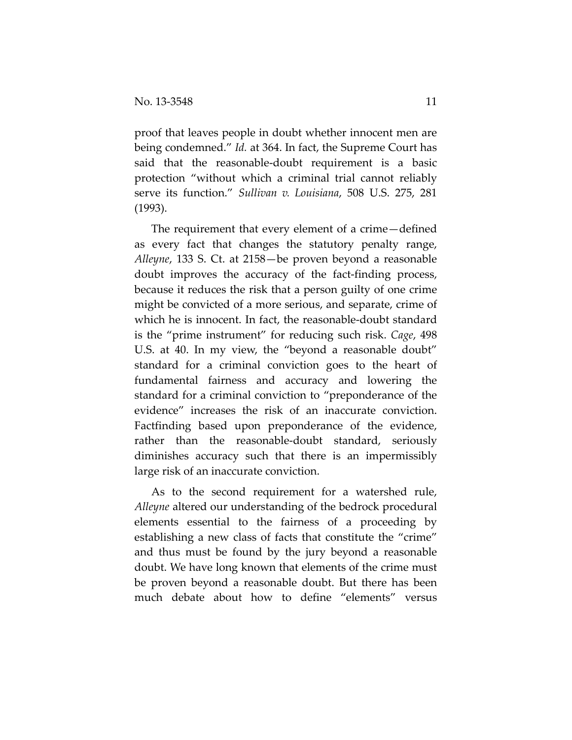proof that leaves people in doubt whether innocent men are being condemned." *Id.* at 364. In fact, the Supreme Court has said that the reasonable‐doubt requirement is a basic protection "without which a criminal trial cannot reliably serve its function." *Sullivan v. Louisiana*, 508 U.S. 275, 281 (1993).

The requirement that every element of a crime—defined as every fact that changes the statutory penalty range, *Alleyne*, 133 S. Ct. at 2158—be proven beyond a reasonable doubt improves the accuracy of the fact‐finding process, because it reduces the risk that a person guilty of one crime might be convicted of a more serious, and separate, crime of which he is innocent. In fact, the reasonable‐doubt standard is the "prime instrument" for reducing such risk. *Cage*, 498 U.S. at 40. In my view, the "beyond a reasonable doubt" standard for a criminal conviction goes to the heart of fundamental fairness and accuracy and lowering the standard for a criminal conviction to "preponderance of the evidence" increases the risk of an inaccurate conviction. Factfinding based upon preponderance of the evidence, rather than the reasonable-doubt standard, seriously diminishes accuracy such that there is an impermissibly large risk of an inaccurate conviction.

As to the second requirement for a watershed rule, *Alleyne* altered our understanding of the bedrock procedural elements essential to the fairness of a proceeding by establishing a new class of facts that constitute the "crime" and thus must be found by the jury beyond a reasonable doubt. We have long known that elements of the crime must be proven beyond a reasonable doubt. But there has been much debate about how to define "elements" versus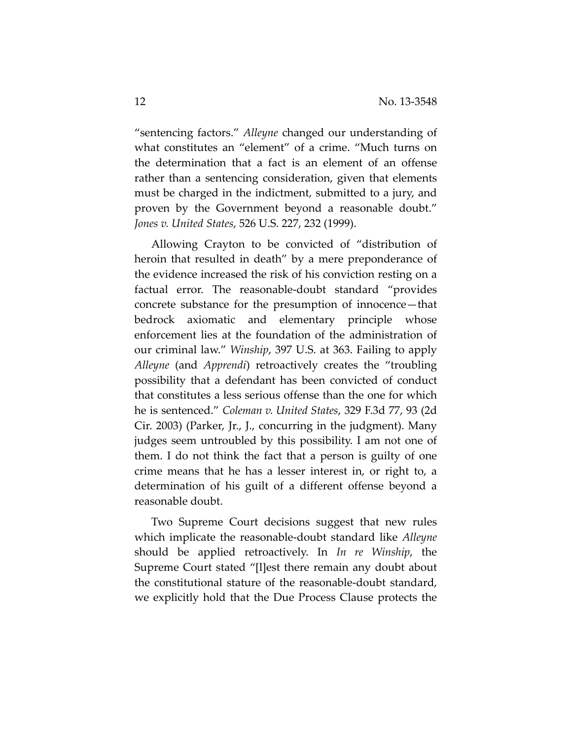"sentencing factors." *Alleyne* changed our understanding of what constitutes an "element" of a crime. "Much turns on the determination that a fact is an element of an offense rather than a sentencing consideration, given that elements must be charged in the indictment, submitted to a jury, and proven by the Government beyond a reasonable doubt." *Jones v. United States*, 526 U.S. 227, 232 (1999).

Allowing Crayton to be convicted of "distribution of heroin that resulted in death" by a mere preponderance of the evidence increased the risk of his conviction resting on a factual error. The reasonable-doubt standard "provides concrete substance for the presumption of innocence—that bedrock axiomatic and elementary principle whose enforcement lies at the foundation of the administration of our criminal law." *Winship*, 397 U.S. at 363. Failing to apply *Alleyne* (and *Apprendi*) retroactively creates the "troubling possibility that a defendant has been convicted of conduct that constitutes a less serious offense than the one for which he is sentenced." *Coleman v. United States*, 329 F.3d 77, 93 (2d Cir. 2003) (Parker, Jr., J., concurring in the judgment). Many judges seem untroubled by this possibility. I am not one of them. I do not think the fact that a person is guilty of one crime means that he has a lesser interest in, or right to, a determination of his guilt of a different offense beyond a reasonable doubt.

Two Supreme Court decisions suggest that new rules which implicate the reasonable‐doubt standard like *Alleyne* should be applied retroactively. In *In re Winship*, the Supreme Court stated "[l]est there remain any doubt about the constitutional stature of the reasonable‐doubt standard, we explicitly hold that the Due Process Clause protects the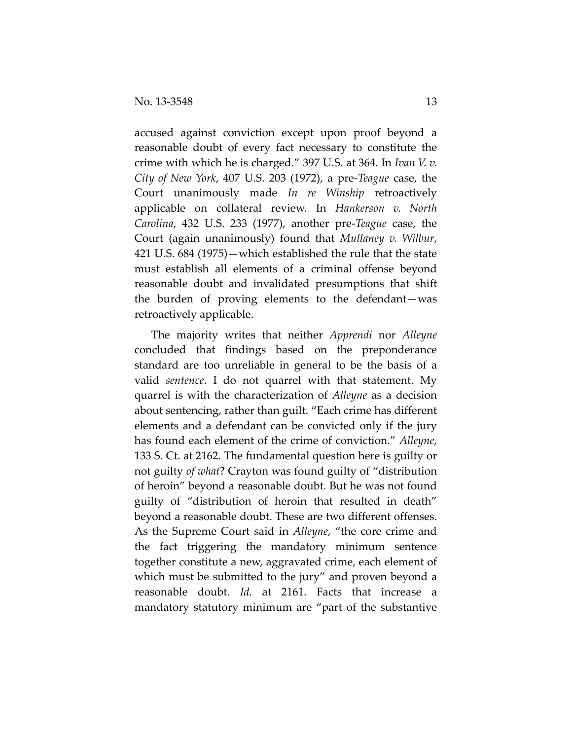accused against conviction except upon proof beyond a reasonable doubt of every fact necessary to constitute the crime with which he is charged." 397 U.S. at 364. In *Ivan V. v. City of New York*, 407 U.S. 203 (1972), a pre‐*Teague* case, the Court unanimously made *In re Winship* retroactively applicable on collateral review. In *Hankerson v. North Carolina*, 432 U.S. 233 (1977), another pre‐*Teague* case, the Court (again unanimously) found that *Mullaney v. Wilbur*, 421 U.S. 684 (1975)—which established the rule that the state must establish all elements of a criminal offense beyond reasonable doubt and invalidated presumptions that shift the burden of proving elements to the defendant—was retroactively applicable.

The majority writes that neither *Apprendi* nor *Alleyne* concluded that findings based on the preponderance standard are too unreliable in general to be the basis of a valid *sentence*. I do not quarrel with that statement. My quarrel is with the characterization of *Alleyne* as a decision about sentencing, rather than guilt. "Each crime has different elements and a defendant can be convicted only if the jury has found each element of the crime of conviction." *Alleyne*, 133 S. Ct. at 2162. The fundamental question here is guilty or not guilty *of what*? Crayton was found guilty of "distribution of heroin" beyond a reasonable doubt. But he was not found guilty of "distribution of heroin that resulted in death" beyond a reasonable doubt. These are two different offenses. As the Supreme Court said in *Alleyne*, "the core crime and the fact triggering the mandatory minimum sentence together constitute a new, aggravated crime, each element of which must be submitted to the jury" and proven beyond a reasonable doubt. *Id.* at 2161. Facts that increase a mandatory statutory minimum are "part of the substantive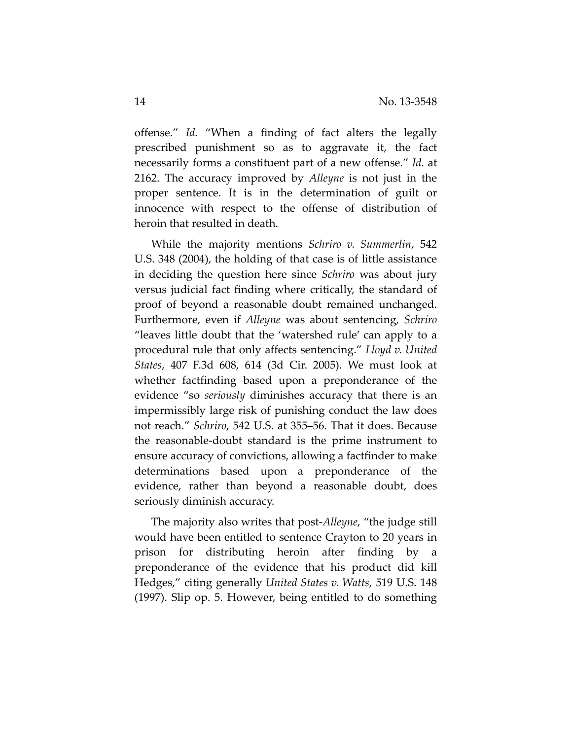offense." *Id.* "When a finding of fact alters the legally prescribed punishment so as to aggravate it, the fact necessarily forms a constituent part of a new offense." *Id.* at 2162. The accuracy improved by *Alleyne* is not just in the proper sentence. It is in the determination of guilt or innocence with respect to the offense of distribution of heroin that resulted in death.

While the majority mentions *Schriro v. Summerlin*, 542 U.S. 348 (2004), the holding of that case is of little assistance in deciding the question here since *Schriro* was about jury versus judicial fact finding where critically, the standard of proof of beyond a reasonable doubt remained unchanged. Furthermore, even if *Alleyne* was about sentencing, *Schriro* "leaves little doubt that the 'watershed rule' can apply to a procedural rule that only affects sentencing." *Lloyd v. United States*, 407 F.3d 608, 614 (3d Cir. 2005). We must look at whether factfinding based upon a preponderance of the evidence "so *seriously* diminishes accuracy that there is an impermissibly large risk of punishing conduct the law does not reach." *Schriro*, 542 U.S. at 355–56. That it does. Because the reasonable‐doubt standard is the prime instrument to ensure accuracy of convictions, allowing a factfinder to make determinations based upon a preponderance of the evidence, rather than beyond a reasonable doubt, does seriously diminish accuracy.

The majority also writes that post‐*Alleyne*, "the judge still would have been entitled to sentence Crayton to 20 years in prison for distributing heroin after finding by a preponderance of the evidence that his product did kill Hedges," citing generally *United States v. Watts*, 519 U.S. 148 (1997). Slip op. 5. However, being entitled to do something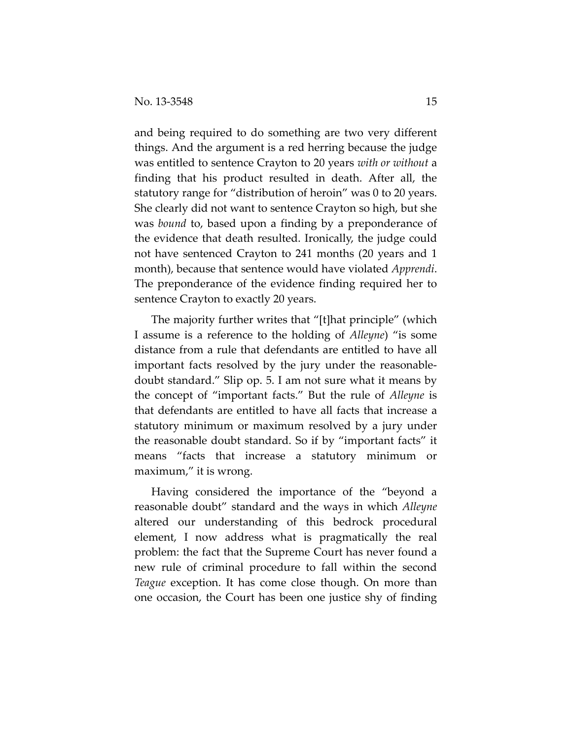and being required to do something are two very different things. And the argument is a red herring because the judge was entitled to sentence Crayton to 20 years *with or without* a finding that his product resulted in death. After all, the statutory range for "distribution of heroin" was 0 to 20 years. She clearly did not want to sentence Crayton so high, but she was *bound* to, based upon a finding by a preponderance of the evidence that death resulted. Ironically, the judge could not have sentenced Crayton to 241 months (20 years and 1 month), because that sentence would have violated *Apprendi*. The preponderance of the evidence finding required her to sentence Crayton to exactly 20 years.

The majority further writes that "[t]hat principle" (which I assume is a reference to the holding of *Alleyne*) "is some distance from a rule that defendants are entitled to have all important facts resolved by the jury under the reasonable‐ doubt standard." Slip op. 5. I am not sure what it means by the concept of "important facts." But the rule of *Alleyne* is that defendants are entitled to have all facts that increase a statutory minimum or maximum resolved by a jury under the reasonable doubt standard. So if by "important facts" it means "facts that increase a statutory minimum or maximum," it is wrong.

Having considered the importance of the "beyond a reasonable doubt" standard and the ways in which *Alleyne* altered our understanding of this bedrock procedural element, I now address what is pragmatically the real problem: the fact that the Supreme Court has never found a new rule of criminal procedure to fall within the second *Teague* exception. It has come close though. On more than one occasion, the Court has been one justice shy of finding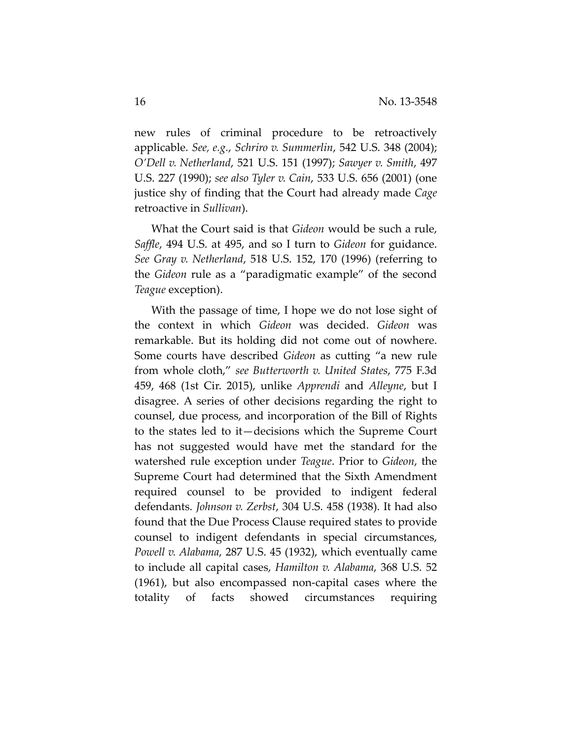new rules of criminal procedure to be retroactively applicable. *See, e.g.*, *Schriro v. Summerlin*, 542 U.S. 348 (2004); *O'Dell v. Netherland*, 521 U.S. 151 (1997); *Sawyer v. Smith*, 497 U.S. 227 (1990); *see also Tyler v. Cain*, 533 U.S. 656 (2001) (one justice shy of finding that the Court had already made *Cage* retroactive in *Sullivan*).

What the Court said is that *Gideon* would be such a rule, *Saffle*, 494 U.S. at 495, and so I turn to *Gideon* for guidance. *See Gray v. Netherland*, 518 U.S. 152, 170 (1996) (referring to the *Gideon* rule as a "paradigmatic example" of the second *Teague* exception).

With the passage of time, I hope we do not lose sight of the context in which *Gideon* was decided. *Gideon* was remarkable. But its holding did not come out of nowhere. Some courts have described *Gideon* as cutting "a new rule from whole cloth," *see Butterworth v. United States*, 775 F.3d 459, 468 (1st Cir. 2015), unlike *Apprendi* and *Alleyne*, but I disagree. A series of other decisions regarding the right to counsel, due process, and incorporation of the Bill of Rights to the states led to it—decisions which the Supreme Court has not suggested would have met the standard for the watershed rule exception under *Teague*. Prior to *Gideon*, the Supreme Court had determined that the Sixth Amendment required counsel to be provided to indigent federal defendants. *Johnson v. Zerbst*, 304 U.S. 458 (1938). It had also found that the Due Process Clause required states to provide counsel to indigent defendants in special circumstances, *Powell v. Alabama*, 287 U.S. 45 (1932), which eventually came to include all capital cases, *Hamilton v. Alabama*, 368 U.S. 52 (1961), but also encompassed non‐capital cases where the totality of facts showed circumstances requiring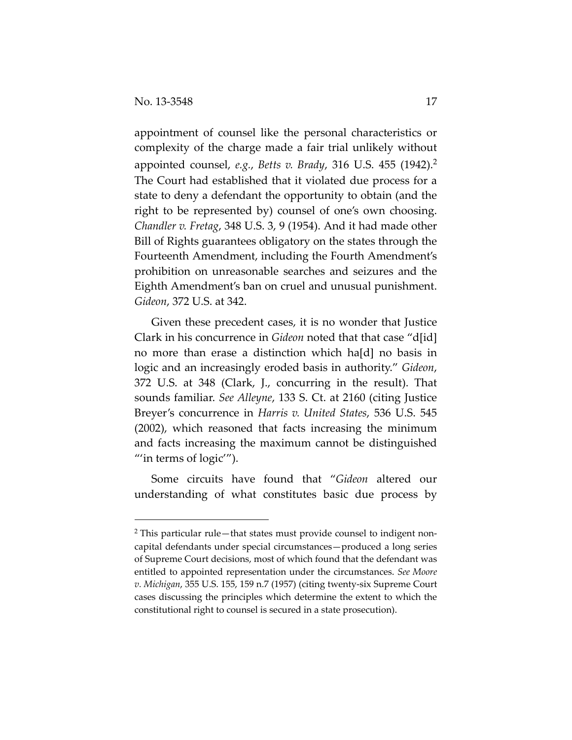$\overline{a}$ 

appointment of counsel like the personal characteristics or complexity of the charge made a fair trial unlikely without appointed counsel, *e.g.*, *Betts v. Brady*, 316 U.S. 455 (1942).<sup>2</sup> The Court had established that it violated due process for a state to deny a defendant the opportunity to obtain (and the right to be represented by) counsel of one's own choosing. *Chandler v. Fretag*, 348 U.S. 3, 9 (1954). And it had made other Bill of Rights guarantees obligatory on the states through the Fourteenth Amendment, including the Fourth Amendment's prohibition on unreasonable searches and seizures and the Eighth Amendment's ban on cruel and unusual punishment. *Gideon*, 372 U.S. at 342.

Given these precedent cases, it is no wonder that Justice Clark in his concurrence in *Gideon* noted that that case "d[id] no more than erase a distinction which ha[d] no basis in logic and an increasingly eroded basis in authority." *Gideon*, 372 U.S. at 348 (Clark, J., concurring in the result). That sounds familiar. *See Alleyne*, 133 S. Ct. at 2160 (citing Justice Breyer's concurrence in *Harris v. United States*, 536 U.S. 545 (2002), which reasoned that facts increasing the minimum and facts increasing the maximum cannot be distinguished "'in terms of logic"').

Some circuits have found that "*Gideon* altered our understanding of what constitutes basic due process by

 $2$  This particular rule—that states must provide counsel to indigent noncapital defendants under special circumstances—produced a long series of Supreme Court decisions, most of which found that the defendant was entitled to appointed representation under the circumstances. *See Moore v. Michigan*, 355 U.S. 155, 159 n.7 (1957) (citing twenty‐six Supreme Court cases discussing the principles which determine the extent to which the constitutional right to counsel is secured in a state prosecution).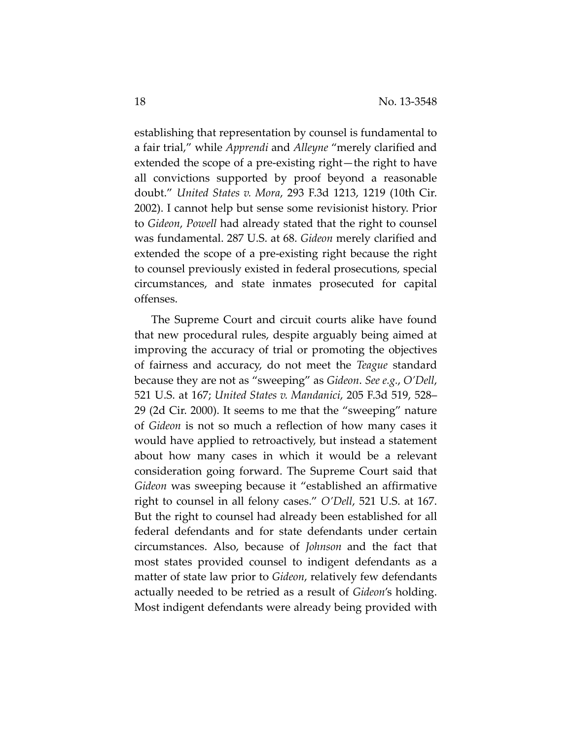establishing that representation by counsel is fundamental to a fair trial," while *Apprendi* and *Alleyne* "merely clarified and extended the scope of a pre‐existing right—the right to have all convictions supported by proof beyond a reasonable doubt." *United States v. Mora*, 293 F.3d 1213, 1219 (10th Cir. 2002). I cannot help but sense some revisionist history. Prior to *Gideon*, *Powell* had already stated that the right to counsel was fundamental. 287 U.S. at 68. *Gideon* merely clarified and extended the scope of a pre‐existing right because the right to counsel previously existed in federal prosecutions, special circumstances, and state inmates prosecuted for capital offenses.

The Supreme Court and circuit courts alike have found that new procedural rules, despite arguably being aimed at improving the accuracy of trial or promoting the objectives of fairness and accuracy, do not meet the *Teague* standard because they are not as "sweeping" as *Gideon*. *See e.g.*, *O'Dell*, 521 U.S. at 167; *United States v. Mandanici*, 205 F.3d 519, 528– 29 (2d Cir. 2000). It seems to me that the "sweeping" nature of *Gideon* is not so much a reflection of how many cases it would have applied to retroactively, but instead a statement about how many cases in which it would be a relevant consideration going forward. The Supreme Court said that *Gideon* was sweeping because it "established an affirmative right to counsel in all felony cases." *O'Dell*, 521 U.S. at 167. But the right to counsel had already been established for all federal defendants and for state defendants under certain circumstances. Also, because of *Johnson* and the fact that most states provided counsel to indigent defendants as a matter of state law prior to *Gideon*, relatively few defendants actually needed to be retried as a result of *Gideon*'s holding. Most indigent defendants were already being provided with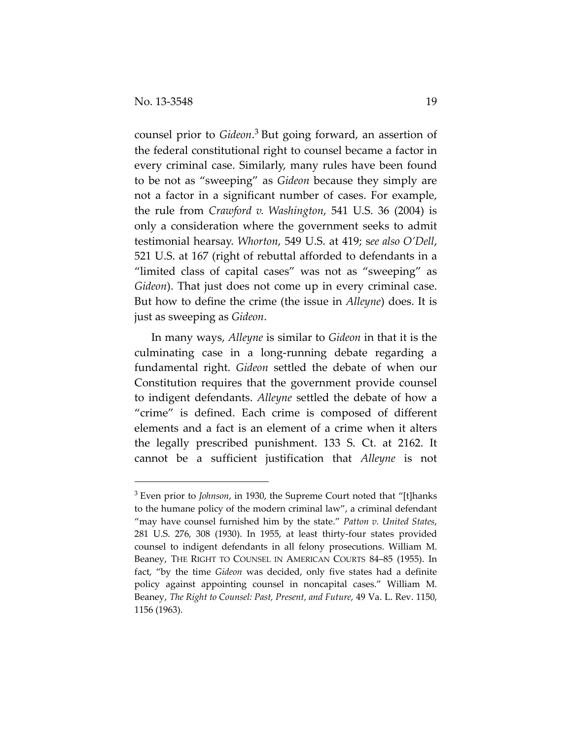$\overline{a}$ 

counsel prior to *Gideon*. <sup>3</sup> But going forward, an assertion of the federal constitutional right to counsel became a factor in every criminal case. Similarly, many rules have been found to be not as "sweeping" as *Gideon* because they simply are not a factor in a significant number of cases. For example, the rule from *Crawford v. Washington*, 541 U.S. 36 (2004) is only a consideration where the government seeks to admit testimonial hearsay. *Whorton*, 549 U.S. at 419; s*ee also O'Dell*, 521 U.S. at 167 (right of rebuttal afforded to defendants in a "limited class of capital cases" was not as "sweeping" as *Gideon*). That just does not come up in every criminal case. But how to define the crime (the issue in *Alleyne*) does. It is just as sweeping as *Gideon*.

In many ways, *Alleyne* is similar to *Gideon* in that it is the culminating case in a long‐running debate regarding a fundamental right. *Gideon* settled the debate of when our Constitution requires that the government provide counsel to indigent defendants. *Alleyne* settled the debate of how a "crime" is defined. Each crime is composed of different elements and a fact is an element of a crime when it alters the legally prescribed punishment. 133 S. Ct. at 2162. It cannot be a sufficient justification that *Alleyne* is not

<sup>3</sup> Even prior to *Johnson*, in 1930, the Supreme Court noted that "[t]hanks to the humane policy of the modern criminal law", a criminal defendant "may have counsel furnished him by the state." *Patton v. United States*, 281 U.S. 276, 308 (1930). In 1955, at least thirty‐four states provided counsel to indigent defendants in all felony prosecutions. William M. Beaney, THE RIGHT TO COUNSEL IN AMERICAN COURTS 84–85 (1955). In fact, "by the time *Gideon* was decided, only five states had a definite policy against appointing counsel in noncapital cases." William M. Beaney, *The Right to Counsel: Past, Present, and Future*, 49 Va. L. Rev. 1150, 1156 (1963).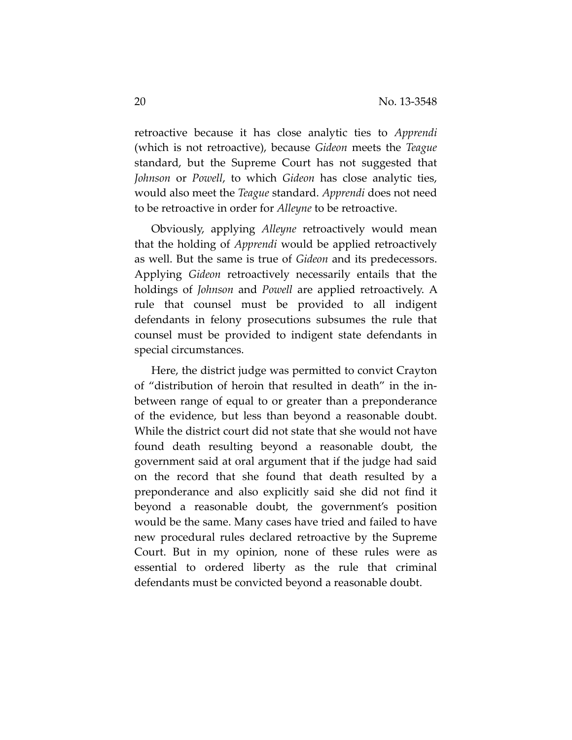retroactive because it has close analytic ties to *Apprendi* (which is not retroactive), because *Gideon* meets the *Teague* standard, but the Supreme Court has not suggested that *Johnson* or *Powell*, to which *Gideon* has close analytic ties, would also meet the *Teague* standard. *Apprendi* does not need to be retroactive in order for *Alleyne* to be retroactive.

Obviously, applying *Alleyne* retroactively would mean that the holding of *Apprendi* would be applied retroactively as well. But the same is true of *Gideon* and its predecessors. Applying *Gideon* retroactively necessarily entails that the holdings of *Johnson* and *Powell* are applied retroactively. A rule that counsel must be provided to all indigent defendants in felony prosecutions subsumes the rule that counsel must be provided to indigent state defendants in special circumstances.

Here, the district judge was permitted to convict Crayton of "distribution of heroin that resulted in death" in the in‐ between range of equal to or greater than a preponderance of the evidence, but less than beyond a reasonable doubt. While the district court did not state that she would not have found death resulting beyond a reasonable doubt, the government said at oral argument that if the judge had said on the record that she found that death resulted by a preponderance and also explicitly said she did not find it beyond a reasonable doubt, the government's position would be the same. Many cases have tried and failed to have new procedural rules declared retroactive by the Supreme Court. But in my opinion, none of these rules were as essential to ordered liberty as the rule that criminal defendants must be convicted beyond a reasonable doubt.